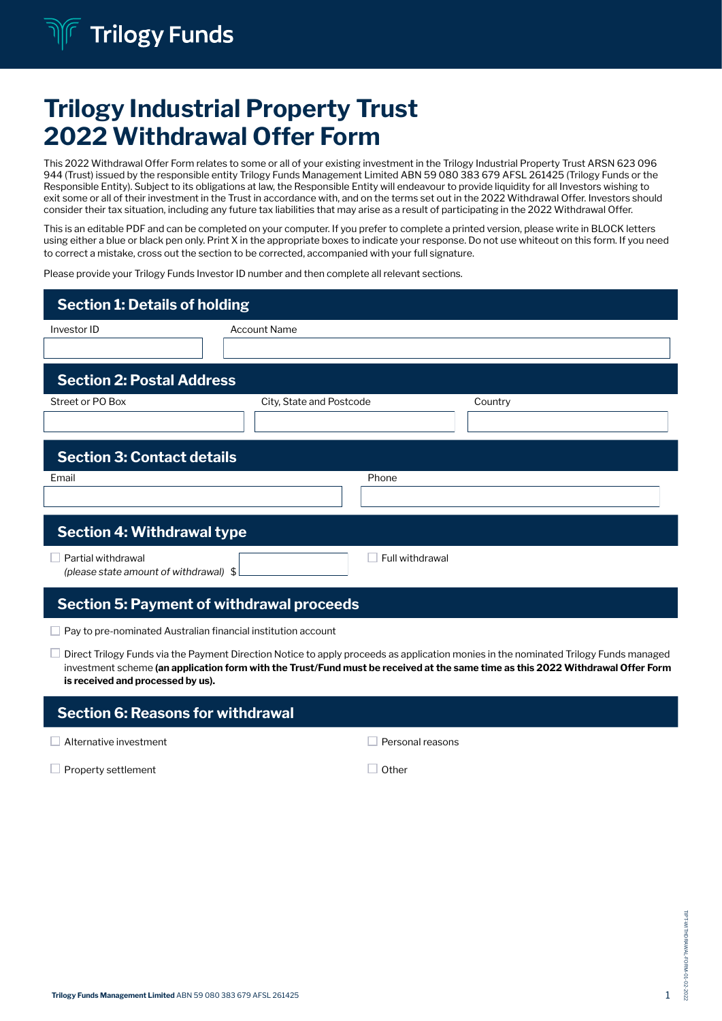# Trilogy Industrial Property Trust 2022 Withdrawal Offer Form

This 2022 Withdrawal Offer Form relates to some or all of your existing investment in the Trilogy Industrial Property Trust ARSN 623 096 944 (Trust) issued by the responsible entity Trilogy Funds Management Limited ABN 59 080 383 679 AFSL 261425 (Trilogy Funds or the Responsible Entity). Subject to its obligations at law, the Responsible Entity will endeavour to provide liquidity for all Investors wishing to exit some or all of their investment in the Trust in accordance with, and on the terms set out in the 2022 Withdrawal Offer. Investors should consider their tax situation, including any future tax liabilities that may arise as a result of participating in the 2022 Withdrawal Offer.

This is an editable PDF and can be completed on your computer. If you prefer to complete a printed version, please write in BLOCK letters using either a blue or black pen only. Print X in the appropriate boxes to indicate your response. Do not use whiteout on this form. If you need to correct a mistake, cross out the section to be corrected, accompanied with your full signature.

Please provide your Trilogy Funds Investor ID number and then complete all relevant sections.

| <b>Section 1: Details of holding</b>                          |                          |                 |         |  |  |
|---------------------------------------------------------------|--------------------------|-----------------|---------|--|--|
| Investor ID                                                   | <b>Account Name</b>      |                 |         |  |  |
| <b>Section 2: Postal Address</b>                              |                          |                 |         |  |  |
| Street or PO Box                                              | City, State and Postcode |                 | Country |  |  |
| <b>Section 3: Contact details</b>                             |                          |                 |         |  |  |
| Email                                                         |                          | Phone           |         |  |  |
| <b>Section 4: Withdrawal type</b>                             |                          |                 |         |  |  |
| Partial withdrawal<br>(please state amount of withdrawal) \$  |                          | Full withdrawal |         |  |  |
| <b>Section 5: Payment of withdrawal proceeds</b>              |                          |                 |         |  |  |
| Pay to pre-nominated Australian financial institution account |                          |                 |         |  |  |

 $\Box$  Direct Trilogy Funds via the Payment Direction Notice to apply proceeds as application monies in the nominated Trilogy Funds managed investment scheme (an application form with the Trust/Fund must be received at the same time as this 2022 Withdrawal Offer Form is received and processed by us).

| <b>Section 6: Reasons for withdrawal</b> |                  |  |  |  |  |
|------------------------------------------|------------------|--|--|--|--|
| $\Box$ Alternative investment            | Personal reasons |  |  |  |  |
|                                          |                  |  |  |  |  |

 $\Box$  Property settlement  $\Box$  Other